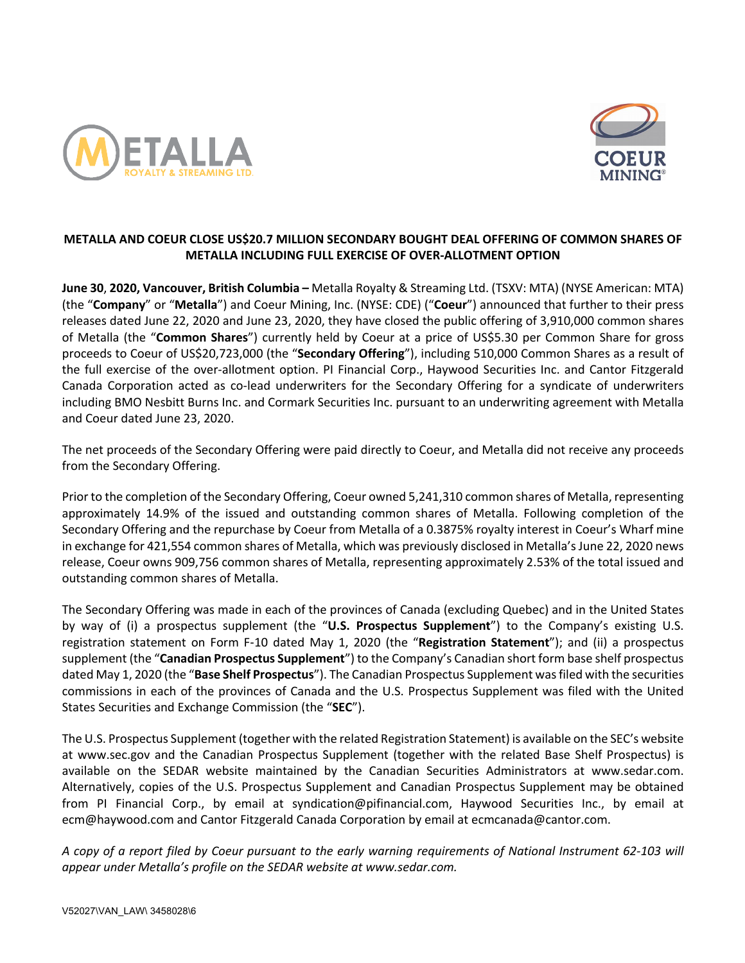



# **METALLA AND COEUR CLOSE US\$20.7 MILLION SECONDARY BOUGHT DEAL OFFERING OF COMMON SHARES OF METALLA INCLUDING FULL EXERCISE OF OVER-ALLOTMENT OPTION**

**June 30**, **2020, Vancouver, British Columbia –** Metalla Royalty & Streaming Ltd. (TSXV: MTA) (NYSE American: MTA) (the "**Company**" or "**Metalla**") and Coeur Mining, Inc. (NYSE: CDE) ("**Coeur**") announced that further to their press releases dated June 22, 2020 and June 23, 2020, they have closed the public offering of 3,910,000 common shares of Metalla (the "**Common Shares**") currently held by Coeur at a price of US\$5.30 per Common Share for gross proceeds to Coeur of US\$20,723,000 (the "**Secondary Offering**"), including 510,000 Common Shares as a result of the full exercise of the over-allotment option. PI Financial Corp., Haywood Securities Inc. and Cantor Fitzgerald Canada Corporation acted as co-lead underwriters for the Secondary Offering for a syndicate of underwriters including BMO Nesbitt Burns Inc. and Cormark Securities Inc. pursuant to an underwriting agreement with Metalla and Coeur dated June 23, 2020.

The net proceeds of the Secondary Offering were paid directly to Coeur, and Metalla did not receive any proceeds from the Secondary Offering.

Prior to the completion of the Secondary Offering, Coeur owned 5,241,310 common shares of Metalla, representing approximately 14.9% of the issued and outstanding common shares of Metalla. Following completion of the Secondary Offering and the repurchase by Coeur from Metalla of a 0.3875% royalty interest in Coeur's Wharf mine in exchange for 421,554 common shares of Metalla, which was previously disclosed in Metalla's June 22, 2020 news release, Coeur owns 909,756 common shares of Metalla, representing approximately 2.53% of the total issued and outstanding common shares of Metalla.

The Secondary Offering was made in each of the provinces of Canada (excluding Quebec) and in the United States by way of (i) a prospectus supplement (the "**U.S. Prospectus Supplement**") to the Company's existing U.S. registration statement on Form F-10 dated May 1, 2020 (the "**Registration Statement**"); and (ii) a prospectus supplement (the "**Canadian Prospectus Supplement**") to the Company's Canadian short form base shelf prospectus dated May 1, 2020 (the "**Base Shelf Prospectus**"). The Canadian Prospectus Supplement wasfiled with the securities commissions in each of the provinces of Canada and the U.S. Prospectus Supplement was filed with the United States Securities and Exchange Commission (the "**SEC**").

The U.S. Prospectus Supplement (together with the related Registration Statement) is available on the SEC's website at www.sec.gov and the Canadian Prospectus Supplement (together with the related Base Shelf Prospectus) is available on the SEDAR website maintained by the Canadian Securities Administrators at www.sedar.com. Alternatively, copies of the U.S. Prospectus Supplement and Canadian Prospectus Supplement may be obtained from PI Financial Corp., by email at syndication@pifinancial.com, Haywood Securities Inc., by email at ecm@haywood.com and Cantor Fitzgerald Canada Corporation by email at ecmcanada@cantor.com.

*A copy of a report filed by Coeur pursuant to the early warning requirements of National Instrument 62-103 will appear under Metalla's profile on the SEDAR website at www.sedar.com.*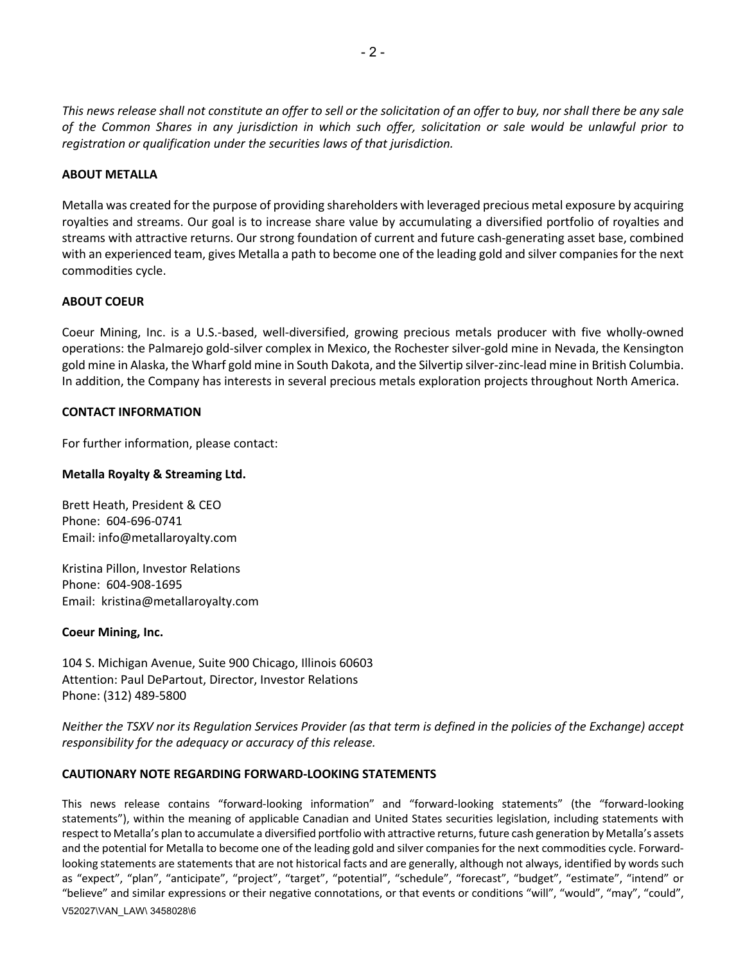*This news release shall not constitute an offer to sell or the solicitation of an offer to buy, nor shall there be any sale of the Common Shares in any jurisdiction in which such offer, solicitation or sale would be unlawful prior to registration or qualification under the securities laws of that jurisdiction.*

## **ABOUT METALLA**

Metalla was created for the purpose of providing shareholders with leveraged precious metal exposure by acquiring royalties and streams. Our goal is to increase share value by accumulating a diversified portfolio of royalties and streams with attractive returns. Our strong foundation of current and future cash-generating asset base, combined with an experienced team, gives Metalla a path to become one of the leading gold and silver companies for the next commodities cycle.

### **ABOUT COEUR**

Coeur Mining, Inc. is a U.S.-based, well-diversified, growing precious metals producer with five wholly-owned operations: the Palmarejo gold-silver complex in Mexico, the Rochester silver-gold mine in Nevada, the Kensington gold mine in Alaska, the Wharf gold mine in South Dakota, and the Silvertip silver-zinc-lead mine in British Columbia. In addition, the Company has interests in several precious metals exploration projects throughout North America.

### **CONTACT INFORMATION**

For further information, please contact:

### **Metalla Royalty & Streaming Ltd.**

Brett Heath, President & CEO Phone: 604-696-0741 Email: info@metallaroyalty.com

Kristina Pillon, Investor Relations Phone: 604-908-1695 Email: kristina@metallaroyalty.com

#### **Coeur Mining, Inc.**

104 S. Michigan Avenue, Suite 900 Chicago, Illinois 60603 Attention: Paul DePartout, Director, Investor Relations Phone: (312) 489-5800

*Neither the TSXV nor its Regulation Services Provider (as that term is defined in the policies of the Exchange) accept responsibility for the adequacy or accuracy of this release.* 

## **CAUTIONARY NOTE REGARDING FORWARD-LOOKING STATEMENTS**

This news release contains "forward-looking information" and "forward-looking statements" (the "forward-looking statements"), within the meaning of applicable Canadian and United States securities legislation, including statements with respect to Metalla's plan to accumulate a diversified portfolio with attractive returns, future cash generation by Metalla's assets and the potential for Metalla to become one of the leading gold and silver companies for the next commodities cycle. Forwardlooking statements are statements that are not historical facts and are generally, although not always, identified by words such as "expect", "plan", "anticipate", "project", "target", "potential", "schedule", "forecast", "budget", "estimate", "intend" or "believe" and similar expressions or their negative connotations, or that events or conditions "will", "would", "may", "could",